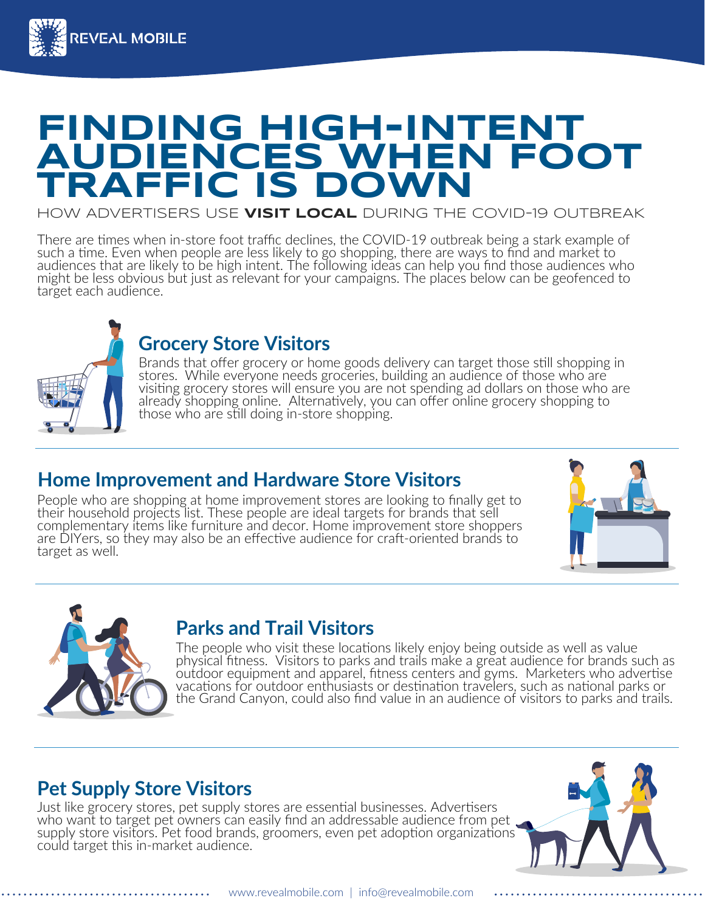

## **FINDING HIGH-INTENT AUDIENCES WHEN FOOT TRAFFIC IS DOW**

HOW ADVERTISERS USE **VISIT LOCAL** DURING THE COVID-19 OUTBREAK

There are times when in-store foot traffic declines, the COVID-19 outbreak being a stark example of such a time. Even when people are less likely to go shopping, there are ways to find and market to audiences that are likely to be high intent. The following ideas can help you find those audiences who might be less obvious but just as relevant for your campaigns. The places below can be geofenced to target each audience.



#### **Grocery Store Visitors**

Brands that offer grocery or home goods delivery can target those still shopping in stores. While everyone needs groceries, building an audience of those who are visiting grocery stores will ensure you are not spending ad dollars on those who are already shopping online. Alternatively, you can offer online grocery shopping to those who are still doing in-store shopping.

#### **Home Improvement and Hardware Store Visitors**

People who are shopping at home improvement stores are looking to finally get to their household projects list. These people are ideal targets for brands that sell complementary items like furniture and decor. Home improvement store shoppers are DIYers, so they may also be an effective audience for craft-oriented brands to target as well.





#### **Parks and Trail Visitors**

The people who visit these locations likely enjoy being outside as well as value physical fitness. Visitors to parks and trails make a great audience for brands such as outdoor equipment and apparel, fitness centers and gyms. Marketers who advertise vacations for outdoor enthusiasts or destination travelers, such as national parks or the Grand Canyon, could also find value in an audience of visitors to parks and trails.

#### **Pet Supply Store Visitors**

Just like grocery stores, pet supply stores are essential businesses. Advertisers who want to target pet owners can easily find an addressable audience from pet supply store visitors. Pet food brands, groomers, even pet adoption organizations could target this in-market audience.